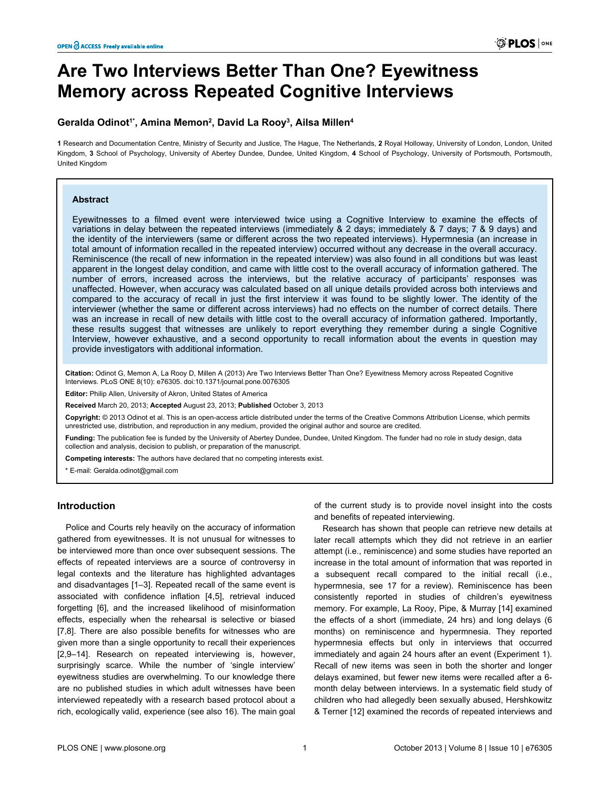# **Are Two Interviews Better Than One? Eyewitness Memory across Repeated Cognitive Interviews**

# **Geralda Odinot1\*, Amina Memon<sup>2</sup> , David La Rooy<sup>3</sup> , Ailsa Millen<sup>4</sup>**

**1** Research and Documentation Centre, Ministry of Security and Justice, The Hague, The Netherlands, **2** Royal Holloway, University of London, London, United Kingdom, **3** School of Psychology, University of Abertey Dundee, Dundee, United Kingdom, **4** School of Psychology, University of Portsmouth, Portsmouth, United Kingdom

## **Abstract**

Eyewitnesses to a filmed event were interviewed twice using a Cognitive Interview to examine the effects of variations in delay between the repeated interviews (immediately & 2 days; immediately & 7 days; 7 & 9 days) and the identity of the interviewers (same or different across the two repeated interviews). Hypermnesia (an increase in total amount of information recalled in the repeated interview) occurred without any decrease in the overall accuracy. Reminiscence (the recall of new information in the repeated interview) was also found in all conditions but was least apparent in the longest delay condition, and came with little cost to the overall accuracy of information gathered. The number of errors, increased across the interviews, but the relative accuracy of participants' responses was unaffected. However, when accuracy was calculated based on all unique details provided across both interviews and compared to the accuracy of recall in just the first interview it was found to be slightly lower. The identity of the interviewer (whether the same or different across interviews) had no effects on the number of correct details. There was an increase in recall of new details with little cost to the overall accuracy of information gathered. Importantly, these results suggest that witnesses are unlikely to report everything they remember during a single Cognitive Interview, however exhaustive, and a second opportunity to recall information about the events in question may provide investigators with additional information.

**Citation:** Odinot G, Memon A, La Rooy D, Millen A (2013) Are Two Interviews Better Than One? Eyewitness Memory across Repeated Cognitive Interviews. PLoS ONE 8(10): e76305. doi:10.1371/journal.pone.0076305

**Editor:** Philip Allen, University of Akron, United States of America

**Received** March 20, 2013; **Accepted** August 23, 2013; **Published** October 3, 2013

**Copyright:** © 2013 Odinot et al. This is an open-access article distributed under the terms of the Creative Commons Attribution License, which permits unrestricted use, distribution, and reproduction in any medium, provided the original author and source are credited.

**Funding:** The publication fee is funded by the University of Abertey Dundee, Dundee, United Kingdom. The funder had no role in study design, data collection and analysis, decision to publish, or preparation of the manuscript.

**Competing interests:** The authors have declared that no competing interests exist.

\* E-mail: Geralda.odinot@gmail.com

# **Introduction**

Police and Courts rely heavily on the accuracy of information gathered from eyewitnesses. It is not unusual for witnesses to be interviewed more than once over subsequent sessions. The effects of repeated interviews are a source of controversy in legal contexts and the literature has highlighted advantages and disadvantages [\[1](#page-6-0)–[3\]](#page-6-0). Repeated recall of the same event is associated with confidence inflation [[4](#page-6-0),[5](#page-6-0)], retrieval induced forgetting [[6\]](#page-6-0), and the increased likelihood of misinformation effects, especially when the rehearsal is selective or biased [[7,8\]](#page-6-0). There are also possible benefits for witnesses who are given more than a single opportunity to recall their experiences [[2,9–14\]](#page-6-0). Research on repeated interviewing is, however, surprisingly scarce. While the number of 'single interview' eyewitness studies are overwhelming. To our knowledge there are no published studies in which adult witnesses have been interviewed repeatedly with a research based protocol about a rich, ecologically valid, experience (see also [16\)](#page-6-0). The main goal

of the current study is to provide novel insight into the costs and benefits of repeated interviewing.

Research has shown that people can retrieve new details at later recall attempts which they did not retrieve in an earlier attempt (i.e., reminiscence) and some studies have reported an increase in the total amount of information that was reported in a subsequent recall compared to the initial recall (i.e., hypermnesia, see [17](#page-6-0) for a review). Reminiscence has been consistently reported in studies of children's eyewitness memory. For example, La Rooy, Pipe, & Murray [[14](#page-6-0)] examined the effects of a short (immediate, 24 hrs) and long delays (6 months) on reminiscence and hypermnesia. They reported hypermnesia effects but only in interviews that occurred immediately and again 24 hours after an event (Experiment 1). Recall of new items was seen in both the shorter and longer delays examined, but fewer new items were recalled after a 6 month delay between interviews. In a systematic field study of children who had allegedly been sexually abused, Hershkowitz & Terner [[12](#page-6-0)] examined the records of repeated interviews and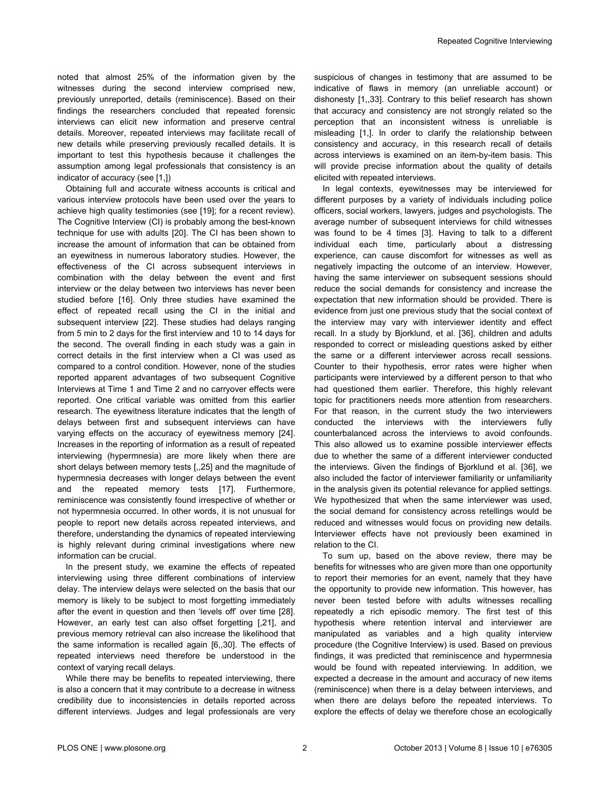noted that almost 25% of the information given by the witnesses during the second interview comprised new, previously unreported, details (reminiscence). Based on their findings the researchers concluded that repeated forensic interviews can elicit new information and preserve central details. Moreover, repeated interviews may facilitate recall of new details while preserving previously recalled details. It is important to test this hypothesis because it challenges the assumption among legal professionals that consistency is an indicator of accuracy (see [\[1,](#page-6-0)])

Obtaining full and accurate witness accounts is critical and various interview protocols have been used over the years to achieve high quality testimonies (see [\[19\]](#page-6-0); for a recent review). The Cognitive Interview (CI) is probably among the best-known technique for use with adults [[20](#page-6-0)]. The CI has been shown to increase the amount of information that can be obtained from an eyewitness in numerous laboratory studies. However, the effectiveness of the CI across subsequent interviews in combination with the delay between the event and first interview or the delay between two interviews has never been studied before [\[16\]](#page-6-0). Only three studies have examined the effect of repeated recall using the CI in the initial and subsequent interview [\[22\]](#page-6-0). These studies had delays ranging from 5 min to 2 days for the first interview and 10 to 14 days for the second. The overall finding in each study was a gain in correct details in the first interview when a CI was used as compared to a control condition. However, none of the studies reported apparent advantages of two subsequent Cognitive Interviews at Time 1 and Time 2 and no carryover effects were reported. One critical variable was omitted from this earlier research. The eyewitness literature indicates that the length of delays between first and subsequent interviews can have varying effects on the accuracy of eyewitness memory [\[24\]](#page-6-0). Increases in the reporting of information as a result of repeated interviewing (hypermnesia) are more likely when there are short delays between memory tests [,,25] and the magnitude of hypermnesia decreases with longer delays between the event and the repeated memory tests [\[17\]](#page-6-0). Furthermore, reminiscence was consistently found irrespective of whether or not hypermnesia occurred. In other words, it is not unusual for people to report new details across repeated interviews, and therefore, understanding the dynamics of repeated interviewing is highly relevant during criminal investigations where new information can be crucial.

In the present study, we examine the effects of repeated interviewing using three different combinations of interview delay. The interview delays were selected on the basis that our memory is likely to be subject to most forgetting immediately after the event in question and then 'levels off' over time [\[28\]](#page-6-0). However, an early test can also offset forgetting [,21], and previous memory retrieval can also increase the likelihood that the same information is recalled again [6,,30]. The effects of repeated interviews need therefore be understood in the context of varying recall delays.

While there may be benefits to repeated interviewing, there is also a concern that it may contribute to a decrease in witness credibility due to inconsistencies in details reported across different interviews. Judges and legal professionals are very

suspicious of changes in testimony that are assumed to be indicative of flaws in memory (an unreliable account) or dishonesty [1,,33]. Contrary to this belief research has shown that accuracy and consistency are not strongly related so the perception that an inconsistent witness is unreliable is misleading [[1](#page-6-0),]. In order to clarify the relationship between consistency and accuracy, in this research recall of details across interviews is examined on an item-by-item basis. This will provide precise information about the quality of details elicited with repeated interviews.

In legal contexts, eyewitnesses may be interviewed for different purposes by a variety of individuals including police officers, social workers, lawyers, judges and psychologists. The average number of subsequent interviews for child witnesses was found to be 4 times [[3](#page-6-0)]. Having to talk to a different individual each time, particularly about a distressing experience, can cause discomfort for witnesses as well as negatively impacting the outcome of an interview. However, having the same interviewer on subsequent sessions should reduce the social demands for consistency and increase the expectation that new information should be provided. There is evidence from just one previous study that the social context of the interview may vary with interviewer identity and effect recall. In a study by Bjorklund, et al. [\[36\]](#page-6-0), children and adults responded to correct or misleading questions asked by either the same or a different interviewer across recall sessions. Counter to their hypothesis, error rates were higher when participants were interviewed by a different person to that who had questioned them earlier. Therefore, this highly relevant topic for practitioners needs more attention from researchers. For that reason, in the current study the two interviewers conducted the interviews with the interviewers fully counterbalanced across the interviews to avoid confounds. This also allowed us to examine possible interviewer effects due to whether the same of a different interviewer conducted the interviews. Given the findings of Bjorklund et al. [[36](#page-6-0)], we also included the factor of interviewer familiarity or unfamiliarity in the analysis given its potential relevance for applied settings. We hypothesized that when the same interviewer was used, the social demand for consistency across retellings would be reduced and witnesses would focus on providing new details. Interviewer effects have not previously been examined in relation to the CI.

To sum up, based on the above review, there may be benefits for witnesses who are given more than one opportunity to report their memories for an event, namely that they have the opportunity to provide new information. This however, has never been tested before with adults witnesses recalling repeatedly a rich episodic memory. The first test of this hypothesis where retention interval and interviewer are manipulated as variables and a high quality interview procedure (the Cognitive Interview) is used. Based on previous findings, it was predicted that reminiscence and hypermnesia would be found with repeated interviewing. In addition, we expected a decrease in the amount and accuracy of new items (reminiscence) when there is a delay between interviews, and when there are delays before the repeated interviews. To explore the effects of delay we therefore chose an ecologically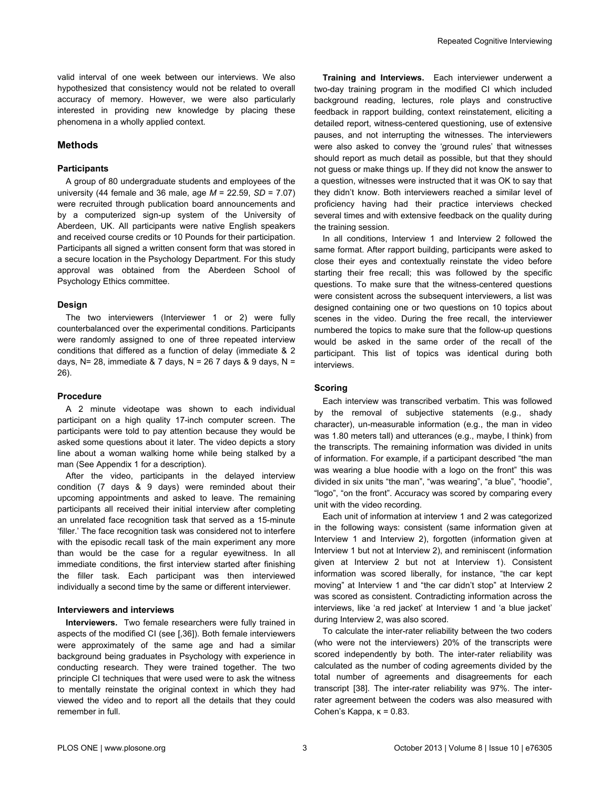valid interval of one week between our interviews. We also hypothesized that consistency would not be related to overall accuracy of memory. However, we were also particularly interested in providing new knowledge by placing these phenomena in a wholly applied context.

# **Methods**

# **Participants**

A group of 80 undergraduate students and employees of the university (44 female and 36 male, age *M* = 22.59, *SD* = 7.07) were recruited through publication board announcements and by a computerized sign-up system of the University of Aberdeen, UK. All participants were native English speakers and received course credits or 10 Pounds for their participation. Participants all signed a written consent form that was stored in a secure location in the Psychology Department. For this study approval was obtained from the Aberdeen School of Psychology Ethics committee.

### **Design**

The two interviewers (Interviewer 1 or 2) were fully counterbalanced over the experimental conditions. Participants were randomly assigned to one of three repeated interview conditions that differed as a function of delay (immediate & 2 days, N= 28, immediate & 7 days, N = 26 7 days & 9 days, N = 26).

### **Procedure**

A 2 minute videotape was shown to each individual participant on a high quality 17-inch computer screen. The participants were told to pay attention because they would be asked some questions about it later. The video depicts a story line about a woman walking home while being stalked by a man (See Appendix 1 for a description).

After the video, participants in the delayed interview condition (7 days & 9 days) were reminded about their upcoming appointments and asked to leave. The remaining participants all received their initial interview after completing an unrelated face recognition task that served as a 15-minute 'filler.' The face recognition task was considered not to interfere with the episodic recall task of the main experiment any more than would be the case for a regular eyewitness. In all immediate conditions, the first interview started after finishing the filler task. Each participant was then interviewed individually a second time by the same or different interviewer.

# **Interviewers and interviews**

**Interviewers.** Two female researchers were fully trained in aspects of the modified CI (see [,36]). Both female interviewers were approximately of the same age and had a similar background being graduates in Psychology with experience in conducting research. They were trained together. The two principle CI techniques that were used were to ask the witness to mentally reinstate the original context in which they had viewed the video and to report all the details that they could remember in full.

**Training and Interviews.** Each interviewer underwent a two-day training program in the modified CI which included background reading, lectures, role plays and constructive feedback in rapport building, context reinstatement, eliciting a detailed report, witness-centered questioning, use of extensive pauses, and not interrupting the witnesses. The interviewers were also asked to convey the 'ground rules' that witnesses should report as much detail as possible, but that they should not guess or make things up. If they did not know the answer to a question, witnesses were instructed that it was OK to say that they didn't know. Both interviewers reached a similar level of proficiency having had their practice interviews checked several times and with extensive feedback on the quality during the training session.

In all conditions, Interview 1 and Interview 2 followed the same format. After rapport building, participants were asked to close their eyes and contextually reinstate the video before starting their free recall; this was followed by the specific questions. To make sure that the witness-centered questions were consistent across the subsequent interviewers, a list was designed containing one or two questions on 10 topics about scenes in the video. During the free recall, the interviewer numbered the topics to make sure that the follow-up questions would be asked in the same order of the recall of the participant. This list of topics was identical during both interviews.

## **Scoring**

Each interview was transcribed verbatim. This was followed by the removal of subjective statements (e.g., shady character), un-measurable information (e.g., the man in video was 1.80 meters tall) and utterances (e.g., maybe, I think) from the transcripts. The remaining information was divided in units of information. For example, if a participant described "the man was wearing a blue hoodie with a logo on the front" this was divided in six units "the man", "was wearing", "a blue", "hoodie", "logo", "on the front". Accuracy was scored by comparing every unit with the video recording.

Each unit of information at interview 1 and 2 was categorized in the following ways: consistent (same information given at Interview 1 and Interview 2), forgotten (information given at Interview 1 but not at Interview 2), and reminiscent (information given at Interview 2 but not at Interview 1). Consistent information was scored liberally, for instance, "the car kept moving" at Interview 1 and "the car didn't stop" at Interview 2 was scored as consistent. Contradicting information across the interviews, like 'a red jacket' at Interview 1 and 'a blue jacket' during Interview 2, was also scored.

To calculate the inter-rater reliability between the two coders (who were not the interviewers) 20% of the transcripts were scored independently by both. The inter-rater reliability was calculated as the number of coding agreements divided by the total number of agreements and disagreements for each transcript [\[38\]](#page-6-0). The inter-rater reliability was 97%. The interrater agreement between the coders was also measured with Cohen's Kappa, κ = 0.83.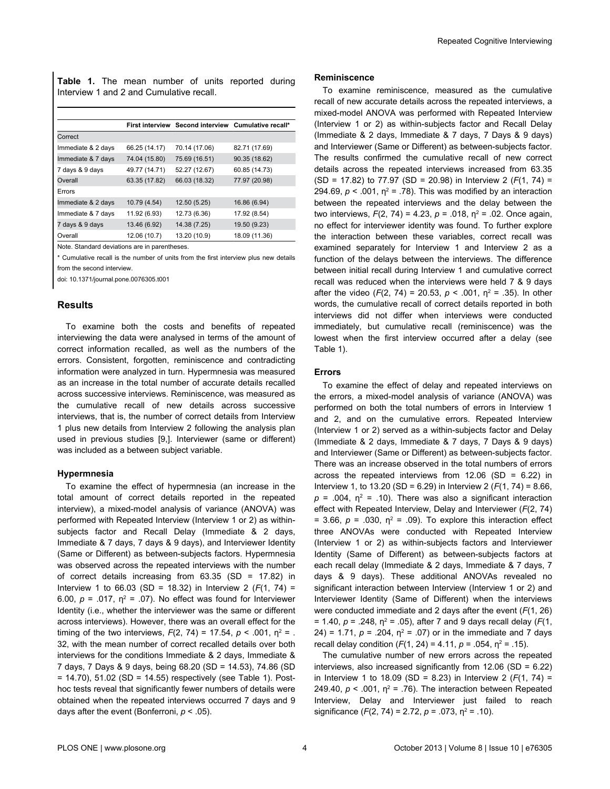**Table 1.** The mean number of units reported during Interview 1 and 2 and Cumulative recall.

|                    |               |               | First interview Second interview Cumulative recall* |  |
|--------------------|---------------|---------------|-----------------------------------------------------|--|
| Correct            |               |               |                                                     |  |
| Immediate & 2 days | 66.25 (14.17) | 70.14 (17.06) | 82.71 (17.69)                                       |  |
| Immediate & 7 days | 74.04 (15.80) | 75.69 (16.51) | 90.35 (18.62)                                       |  |
| 7 days & 9 days    | 49.77 (14.71) | 52.27 (12.67) | 60.85 (14.73)                                       |  |
| Overall            | 63.35 (17.82) | 66.03 (18.32) | 77.97 (20.98)                                       |  |
| Errors             |               |               |                                                     |  |
| Immediate & 2 days | 10.79 (4.54)  | 12.50 (5.25)  | 16.86 (6.94)                                        |  |
| Immediate & 7 days | 11.92 (6.93)  | 12.73 (6.36)  | 17.92 (8.54)                                        |  |
| 7 days & 9 days    | 13.46 (6.92)  | 14.38 (7.25)  | 19.50 (9.23)                                        |  |
| Overall            | 12.06 (10.7)  | 13.20 (10.9)  | 18.09 (11.36)                                       |  |

Note. Standard deviations are in parentheses.

\* Cumulative recall is the number of units from the first interview plus new details from the second interview.

doi: 10.1371/journal.pone.0076305.t001

### **Results**

To examine both the costs and benefits of repeated interviewing the data were analysed in terms of the amount of correct information recalled, as well as the numbers of the errors. Consistent, forgotten, reminiscence and contradicting information were analyzed in turn. Hypermnesia was measured as an increase in the total number of accurate details recalled across successive interviews. Reminiscence, was measured as the cumulative recall of new details across successive interviews, that is, the number of correct details from Interview 1 plus new details from Interview 2 following the analysis plan used in previous studies [\[9,](#page-6-0)]. Interviewer (same or different) was included as a between subject variable.

## **Hypermnesia**

To examine the effect of hypermnesia (an increase in the total amount of correct details reported in the repeated interview), a mixed-model analysis of variance (ANOVA) was performed with Repeated Interview (Interview 1 or 2) as withinsubjects factor and Recall Delay (Immediate & 2 days, Immediate & 7 days, 7 days & 9 days), and Interviewer Identity (Same or Different) as between-subjects factors. Hypermnesia was observed across the repeated interviews with the number of correct details increasing from 63.35 (SD = 17.82) in Interview 1 to 66.03 (SD = 18.32) in Interview 2 (*F*(1, 74) = 6.00,  $p = 0.017$ ,  $\eta^2 = 0.07$ ). No effect was found for Interviewer Identity (i.e., whether the interviewer was the same or different across interviews). However, there was an overall effect for the timing of the two interviews,  $F(2, 74) = 17.54$ ,  $p < .001$ ,  $p^2 = .$ 32, with the mean number of correct recalled details over both interviews for the conditions Immediate & 2 days, Immediate & 7 days, 7 Days & 9 days, being 68.20 (SD = 14.53), 74.86 (SD  $= 14.70$ ), 51.02 (SD = 14.55) respectively (see Table 1). Posthoc tests reveal that significantly fewer numbers of details were obtained when the repeated interviews occurred 7 days and 9 days after the event (Bonferroni, *p* < .05).

# **Reminiscence**

To examine reminiscence, measured as the cumulative recall of new accurate details across the repeated interviews, a mixed-model ANOVA was performed with Repeated Interview (Interview 1 or 2) as within-subjects factor and Recall Delay (Immediate & 2 days, Immediate & 7 days, 7 Days & 9 days) and Interviewer (Same or Different) as between-subjects factor. The results confirmed the cumulative recall of new correct details across the repeated interviews increased from 63.35 (SD = 17.82) to 77.97 (SD = 20.98) in Interview 2 (*F*(1, 74) = 294.69,  $p < 0.001$ ,  $\eta^2 = 0.78$ ). This was modified by an interaction between the repeated interviews and the delay between the two interviews,  $F(2, 74) = 4.23$ ,  $p = .018$ ,  $n^2 = .02$ . Once again, no effect for interviewer identity was found. To further explore the interaction between these variables, correct recall was examined separately for Interview 1 and Interview 2 as a function of the delays between the interviews. The difference between initial recall during Interview 1 and cumulative correct recall was reduced when the interviews were held 7 & 9 days after the video  $(F(2, 74) = 20.53, p < .001, \eta^2 = .35)$ . In other words, the cumulative recall of correct details reported in both interviews did not differ when interviews were conducted immediately, but cumulative recall (reminiscence) was the lowest when the first interview occurred after a delay (see Table 1).

### **Errors**

To examine the effect of delay and repeated interviews on the errors, a mixed-model analysis of variance (ANOVA) was performed on both the total numbers of errors in Interview 1 and 2, and on the cumulative errors. Repeated Interview (Interview 1 or 2) served as a within-subjects factor and Delay (Immediate & 2 days, Immediate & 7 days, 7 Days & 9 days) and Interviewer (Same or Different) as between-subjects factor. There was an increase observed in the total numbers of errors across the repeated interviews from 12.06 (SD = 6.22) in Interview 1, to 13.20 (SD = 6.29) in Interview 2 (*F*(1, 74) = 8.66,  $p = 0.04$ ,  $\eta^2 = 0.10$ ). There was also a significant interaction effect with Repeated Interview, Delay and Interviewer (*F*(2, 74) = 3.66,  $p = .030$ ,  $\eta^2 = .09$ ). To explore this interaction effect three ANOVAs were conducted with Repeated Interview (Interview 1 or 2) as within-subjects factors and Interviewer Identity (Same of Different) as between-subjects factors at each recall delay (Immediate & 2 days, Immediate & 7 days, 7 days & 9 days). These additional ANOVAs revealed no significant interaction between Interview (Interview 1 or 2) and Interviewer Identity (Same of Different) when the interviews were conducted immediate and 2 days after the event (*F*(1, 26)  $= 1.40, p = .248, \eta^2 = .05$ , after 7 and 9 days recall delay ( $F(1,$ 24) = 1.71,  $p = 0.204$ ,  $p^2 = 0.07$  or in the immediate and 7 days recall delay condition  $(F(1, 24) = 4.11, p = .054, \eta^2 = .15)$ .

The cumulative number of new errors across the repeated interviews, also increased significantly from 12.06 (SD = 6.22) in Interview 1 to 18.09 (SD = 8.23) in Interview 2 (*F*(1, 74) = 249.40,  $p < .001$ ,  $\eta^2 = .76$ ). The interaction between Repeated Interview, Delay and Interviewer just failed to reach significance  $(F(2, 74) = 2.72, p = .073, \eta^2 = .10)$ .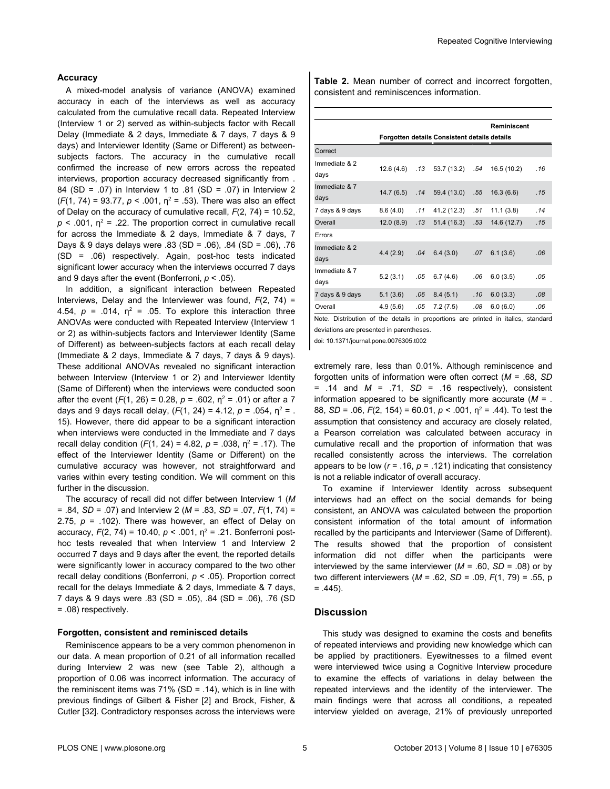## **Accuracy**

A mixed-model analysis of variance (ANOVA) examined accuracy in each of the interviews as well as accuracy calculated from the cumulative recall data. Repeated Interview (Interview 1 or 2) served as within-subjects factor with Recall Delay (Immediate & 2 days, Immediate & 7 days, 7 days & 9 days) and Interviewer Identity (Same or Different) as betweensubjects factors. The accuracy in the cumulative recall confirmed the increase of new errors across the repeated interviews, proportion accuracy decreased significantly from . 84 (SD = .07) in Interview 1 to .81 (SD = .07) in Interview 2  $(F(1, 74) = 93.77, p < .001, \eta^2 = .53)$ . There was also an effect of Delay on the accuracy of cumulative recall, *F*(2, 74) = 10.52,  $p$  < .001,  $p^2$  = .22. The proportion correct in cumulative recall for across the Immediate & 2 days, Immediate & 7 days, 7 Days & 9 days delays were .83 (SD = .06), .84 (SD = .06), .76 (SD = .06) respectively. Again, post-hoc tests indicated significant lower accuracy when the interviews occurred 7 days and 9 days after the event (Bonferroni, *p* < .05).

In addition, a significant interaction between Repeated Interviews, Delay and the Interviewer was found, *F*(2, 74) = 4.54,  $p = 0.014$ ,  $\eta^2 = 0.05$ . To explore this interaction three ANOVAs were conducted with Repeated Interview (Interview 1 or 2) as within-subjects factors and Interviewer Identity (Same of Different) as between-subjects factors at each recall delay (Immediate & 2 days, Immediate & 7 days, 7 days & 9 days). These additional ANOVAs revealed no significant interaction between Interview (Interview 1 or 2) and Interviewer Identity (Same of Different) when the interviews were conducted soon after the event  $(F(1, 26) = 0.28, p = .602, n^2 = .01)$  or after a 7 days and 9 days recall delay,  $(F(1, 24) = 4.12, p = .054, \eta^2 = .$ 15). However, there did appear to be a significant interaction when interviews were conducted in the Immediate and 7 days recall delay condition  $(F(1, 24) = 4.82, p = .038, n^2 = .17)$ . The effect of the Interviewer Identity (Same or Different) on the cumulative accuracy was however, not straightforward and varies within every testing condition. We will comment on this further in the discussion.

The accuracy of recall did not differ between Interview 1 (*M* = .84, *SD* = .07) and Interview 2 (*M* = .83, *SD* = .07, *F*(1, 74) = 2.75,  $p = .102$ ). There was however, an effect of Delay on accuracy, *F*(2, 74) = 10.40, *p* < .001, η<sup>2</sup> = .21. Bonferroni posthoc tests revealed that when Interview 1 and Interview 2 occurred 7 days and 9 days after the event, the reported details were significantly lower in accuracy compared to the two other recall delay conditions (Bonferroni, *p* < .05). Proportion correct recall for the delays Immediate & 2 days, Immediate & 7 days, 7 days & 9 days were .83 (SD = .05), .84 (SD = .06), .76 (SD = .08) respectively.

### **Forgotten, consistent and reminisced details**

Reminiscence appears to be a very common phenomenon in our data. A mean proportion of 0.21 of all information recalled during Interview 2 was new (see Table 2), although a proportion of 0.06 was incorrect information. The accuracy of the reminiscent items was 71% (SD = .14), which is in line with previous findings of Gilbert & Fisher [[2\]](#page-6-0) and Brock, Fisher, & Cutler [[32](#page-6-0)]. Contradictory responses across the interviews were

**Table 2.** Mean number of correct and incorrect forgotten, consistent and reminiscences information.

|                       |            |     |                                              |     | <b>Reminiscent</b> |     |
|-----------------------|------------|-----|----------------------------------------------|-----|--------------------|-----|
|                       |            |     | Forgotten details Consistent details details |     |                    |     |
| Correct               |            |     |                                              |     |                    |     |
| Immediate & 2<br>days | 12.6 (4.6) | .13 | 53.7 (13.2)                                  | .54 | 16.5 (10.2)        | .16 |
| Immediate & 7<br>days | 14.7(6.5)  | .14 | 59.4 (13.0)                                  | .55 | 16.3(6.6)          | .15 |
| 7 days & 9 days       | 8.6(4.0)   | .11 | 41.2 (12.3)                                  | .51 | 11.1(3.8)          | .14 |
| Overall               | 12.0(8.9)  | .13 | 51.4 (16.3)                                  | .53 | 14.6 (12.7)        | .15 |
| Errors                |            |     |                                              |     |                    |     |
| Immediate & 2<br>days | 4.4(2.9)   | .04 | 6.4(3.0)                                     | .07 | 6.1(3.6)           | .06 |
| Immediate & 7<br>days | 5.2(3.1)   | .05 | 6.7(4.6)                                     | .06 | 6.0(3.5)           | .05 |
| 7 days & 9 days       | 5.1(3.6)   | .06 | 8.4(5.1)                                     | .10 | 6.0(3.3)           | .08 |
| Overall               | 4.9(5.6)   | .05 | 7.2(7.5)                                     | .08 | 6.0(6.0)           | .06 |

Note. Distribution of the details in proportions are printed in italics, standard deviations are presented in parentheses.

doi: 10.1371/journal.pone.0076305.t002

extremely rare, less than 0.01%. Although reminiscence and forgotten units of information were often correct (*M* = .68, *SD* = .14 and  $M = .71$ ,  $SD = .16$  respectively), consistent information appeared to be significantly more accurate (*M* = . 88, *SD* = .06, *F*(2, 154) = 60.01, *p* < .001, η<sup>2</sup> = .44). To test the assumption that consistency and accuracy are closely related, a Pearson correlation was calculated between accuracy in cumulative recall and the proportion of information that was recalled consistently across the interviews. The correlation appears to be low  $(r = .16, p = .121)$  indicating that consistency is not a reliable indicator of overall accuracy.

To examine if Interviewer Identity across subsequent interviews had an effect on the social demands for being consistent, an ANOVA was calculated between the proportion consistent information of the total amount of information recalled by the participants and Interviewer (Same of Different). The results showed that the proportion of consistent information did not differ when the participants were interviewed by the same interviewer  $(M = .60, SD = .08)$  or by two different interviewers (*M* = .62, *SD* = .09, *F*(1, 79) = .55, p  $= .445$ ).

## **Discussion**

This study was designed to examine the costs and benefits of repeated interviews and providing new knowledge which can be applied by practitioners. Eyewitnesses to a filmed event were interviewed twice using a Cognitive Interview procedure to examine the effects of variations in delay between the repeated interviews and the identity of the interviewer. The main findings were that across all conditions, a repeated interview yielded on average, 21% of previously unreported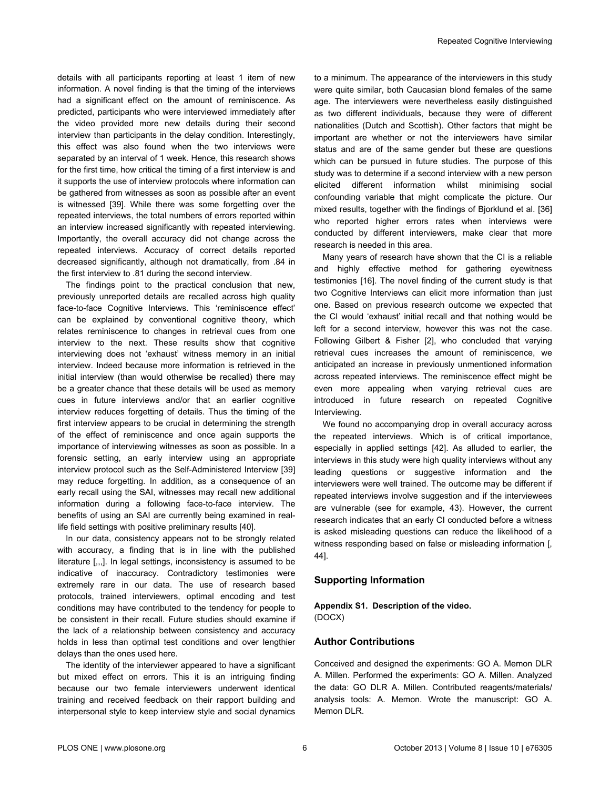details with all participants reporting at least 1 item of new information. A novel finding is that the timing of the interviews had a significant effect on the amount of reminiscence. As predicted, participants who were interviewed immediately after the video provided more new details during their second interview than participants in the delay condition. Interestingly, this effect was also found when the two interviews were separated by an interval of 1 week. Hence, this research shows for the first time, how critical the timing of a first interview is and it supports the use of interview protocols where information can be gathered from witnesses as soon as possible after an event is witnessed [\[39\]](#page-6-0). While there was some forgetting over the repeated interviews, the total numbers of errors reported within an interview increased significantly with repeated interviewing. Importantly, the overall accuracy did not change across the repeated interviews. Accuracy of correct details reported decreased significantly, although not dramatically, from .84 in the first interview to .81 during the second interview.

The findings point to the practical conclusion that new, previously unreported details are recalled across high quality face-to-face Cognitive Interviews. This 'reminiscence effect' can be explained by conventional cognitive theory, which relates reminiscence to changes in retrieval cues from one interview to the next. These results show that cognitive interviewing does not 'exhaust' witness memory in an initial interview. Indeed because more information is retrieved in the initial interview (than would otherwise be recalled) there may be a greater chance that these details will be used as memory cues in future interviews and/or that an earlier cognitive interview reduces forgetting of details. Thus the timing of the first interview appears to be crucial in determining the strength of the effect of reminiscence and once again supports the importance of interviewing witnesses as soon as possible. In a forensic setting, an early interview using an appropriate interview protocol such as the Self-Administered Interview [[39](#page-6-0)] may reduce forgetting. In addition, as a consequence of an early recall using the SAI, witnesses may recall new additional information during a following face-to-face interview. The benefits of using an SAI are currently being examined in reallife field settings with positive preliminary results [[40](#page-6-0)].

In our data, consistency appears not to be strongly related with accuracy, a finding that is in line with the published literature [,,,]. In legal settings, inconsistency is assumed to be indicative of inaccuracy. Contradictory testimonies were extremely rare in our data. The use of research based protocols, trained interviewers, optimal encoding and test conditions may have contributed to the tendency for people to be consistent in their recall. Future studies should examine if the lack of a relationship between consistency and accuracy holds in less than optimal test conditions and over lengthier delays than the ones used here.

The identity of the interviewer appeared to have a significant but mixed effect on errors. This it is an intriguing finding because our two female interviewers underwent identical training and received feedback on their rapport building and interpersonal style to keep interview style and social dynamics

to a minimum. The appearance of the interviewers in this study were quite similar, both Caucasian blond females of the same age. The interviewers were nevertheless easily distinguished as two different individuals, because they were of different nationalities (Dutch and Scottish). Other factors that might be important are whether or not the interviewers have similar status and are of the same gender but these are questions which can be pursued in future studies. The purpose of this study was to determine if a second interview with a new person elicited different information whilst minimising social confounding variable that might complicate the picture. Our mixed results, together with the findings of Bjorklund et al. [[36](#page-6-0)] who reported higher errors rates when interviews were conducted by different interviewers, make clear that more research is needed in this area.

Many years of research have shown that the CI is a reliable and highly effective method for gathering eyewitness testimonies [\[16\]](#page-6-0). The novel finding of the current study is that two Cognitive Interviews can elicit more information than just one. Based on previous research outcome we expected that the CI would 'exhaust' initial recall and that nothing would be left for a second interview, however this was not the case. Following Gilbert & Fisher [[2](#page-6-0)], who concluded that varying retrieval cues increases the amount of reminiscence, we anticipated an increase in previously unmentioned information across repeated interviews. The reminiscence effect might be even more appealing when varying retrieval cues are introduced in future research on repeated Cognitive Interviewing.

We found no accompanying drop in overall accuracy across the repeated interviews. Which is of critical importance, especially in applied settings [\[42\]](#page-6-0). As alluded to earlier, the interviews in this study were high quality interviews without any leading questions or suggestive information and the interviewers were well trained. The outcome may be different if repeated interviews involve suggestion and if the interviewees are vulnerable (see for example, [43\)](#page-6-0). However, the current research indicates that an early CI conducted before a witness is asked misleading questions can reduce the likelihood of a witness responding based on false or misleading information [, 44].

# **Supporting Information**

# **Appendix S1. Description of the video.** (DOCX)

# **Author Contributions**

Conceived and designed the experiments: GO A. Memon DLR A. Millen. Performed the experiments: GO A. Millen. Analyzed the data: GO DLR A. Millen. Contributed reagents/materials/ analysis tools: A. Memon. Wrote the manuscript: GO A. Memon DLR.